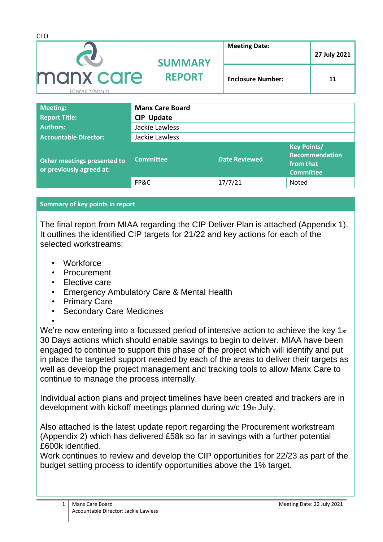| <b>CEO</b>                  |                                 |                          |              |
|-----------------------------|---------------------------------|--------------------------|--------------|
|                             | <b>SUMMARY</b><br><b>REPORT</b> | <b>Meeting Date:</b>     | 27 July 2021 |
| manx care<br>Kiarail Vannin |                                 | <b>Enclosure Number:</b> | 11           |
|                             |                                 |                          |              |

| <b>Meeting:</b>                                         | <b>Manx Care Board</b> |                      |                                                                       |
|---------------------------------------------------------|------------------------|----------------------|-----------------------------------------------------------------------|
| <b>Report Title:</b>                                    | <b>CIP Update</b>      |                      |                                                                       |
| <b>Authors:</b>                                         | Jackie Lawless         |                      |                                                                       |
| <b>Accountable Director:</b>                            | Jackie Lawless         |                      |                                                                       |
| Other meetings presented to<br>or previously agreed at: | <b>Committee</b>       | <b>Date Reviewed</b> | <b>Key Points/</b><br>Recommendation<br>from that<br><b>Committee</b> |
|                                                         | FP&C                   | 17/7/21              | Noted                                                                 |

## **Summary of key points in report**

The final report from MIAA regarding the CIP Deliver Plan is attached (Appendix 1). It outlines the identified CIP targets for 21/22 and key actions for each of the selected workstreams:

- Workforce
- Procurement
- Elective care
- Emergency Ambulatory Care & Mental Health
- **Primary Care**
- **Secondary Care Medicines**
- •

We're now entering into a focussed period of intensive action to achieve the key 1st 30 Days actions which should enable savings to begin to deliver. MIAA have been engaged to continue to support this phase of the project which will identify and put in place the targeted support needed by each of the areas to deliver their targets as well as develop the project management and tracking tools to allow Manx Care to continue to manage the process internally.

Individual action plans and project timelines have been created and trackers are in development with kickoff meetings planned during w/c 19th July.

Also attached is the latest update report regarding the Procurement workstream (Appendix 2) which has delivered £58k so far in savings with a further potential £600k identified.

Work continues to review and develop the CIP opportunities for 22/23 as part of the budget setting process to identify opportunities above the 1% target.